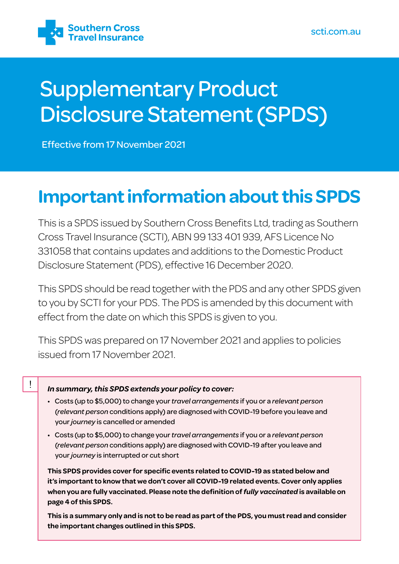

# Supplementary Product Disclosure Statement (SPDS)

Effective from 17 November 2021

## **Important information about this SPDS**

This is a SPDS issued by Southern Cross Benefits Ltd, trading as Southern Cross Travel Insurance (SCTI), ABN 99 133 401 939, AFS Licence No 331058 that contains updates and additions to the Domestic Product Disclosure Statement (PDS), effective 16 December 2020.

This SPDS should be read together with the PDS and any other SPDS given to you by SCTI for your PDS. The PDS is amended by this document with effect from the date on which this SPDS is given to you.

This SPDS was prepared on 17 November 2021 and applies to policies issued from 17 November 2021.

### *In summary, this SPDS extends your policy to cover:*

 $\mathbf{I}$ 

- Costs (up to \$5,000) to change your *travel arrangements* if you or a *relevant person* (*relevant person* conditions apply) are diagnosed with COVID-19 before you leave and your *journey* is cancelled or amended
- Costs (up to \$5,000) to change your *travel arrangements* if you or a *relevant person* (*relevant person* conditions apply) are diagnosed with COVID-19 after you leave and your *journey* is interrupted or cut short

**This SPDS provides cover for specific events related to COVID-19 as stated below and it's important to know that we don't cover all COVID-19 related events. Cover only applies when you are fully vaccinated. Please note the definition of** *fully vaccinated* **is available on page 4 of this SPDS.** 

**This is a summary only and is not to be read as part of the PDS, you must read and consider the important changes outlined in this SPDS.**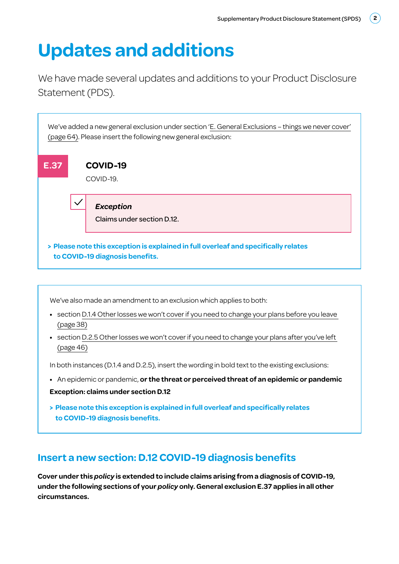## **Updates and additions**

We have made several updates and additions to your Product Disclosure Statement (PDS).



We've also made an amendment to an exclusion which applies to both:

- **•** section D.1.4 Other losses we won't cover if you need to change your plans before you leave (page 38)
- **•** section D.2.5 Other losses we won't cover if you need to change your plans after you've left (page 46)

In both instances (D.1.4 and D.2.5), insert the wording in bold text to the existing exclusions:

- **•** An epidemic or pandemic, **or the threat or perceived threat of an epidemic or pandemic**
- **Exception: claims under section D.12**
- **> Please note this exception is explained in full overleaf and specifically relates to COVID-19 diagnosis benefits.**

## **Insert a new section: D.12 COVID-19 diagnosis benefits**

**Cover under this** *policy* **is extended to include claims arising from a diagnosis of COVID-19, under the following sections of your** *policy* **only. General exclusion E.37 applies in all other circumstances.**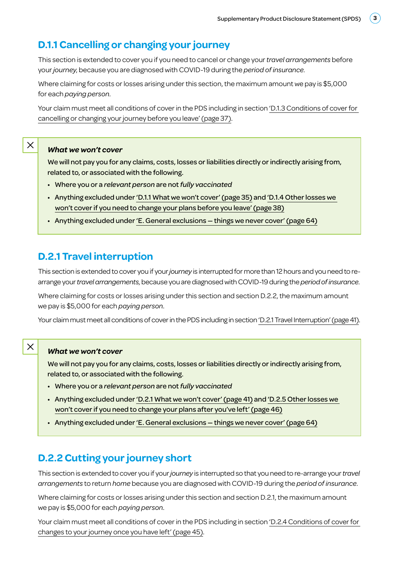## **D.1.1 Cancelling or changing your journey**

This section is extended to cover you if you need to cancel or change your *travel arrangements* before your *journey*, because you are diagnosed with COVID-19 during the *period of insurance.*

Where claiming for costs or losses arising under this section, the maximum amount we pay is \$5,000 for each *paying person*.

Your claim must meet all conditions of cover in the PDS including in section 'D.1.3 Conditions of cover for cancelling or changing your journey before you leave' (page 37).

#### *What we won't cover*

We will not pay you for any claims, costs, losses or liabilities directly or indirectly arising from, related to, or associated with the following.

- Where you or a *relevant person* are not *fully vaccinated*
- Anything excluded under 'D.1.1 What we won't cover' (page 35) and 'D.1.4 Other losses we won't cover if you need to change your plans before you leave' (page 38)
- Anything excluded under 'E. General exclusions things we never cover' (page 64)

### **D.2.1 Travel interruption**

This section is extended to cover you if your *journey* is interrupted for more than 12 hours and you need to rearrange your *travel arrangements*, because you are diagnosed with COVID-19 during the *period of insurance*.

Where claiming for costs or losses arising under this section and section D.2.2, the maximum amount we pay is \$5,000 for each *paying person*.

Your claim must meet all conditions of cover in the PDS including in section 'D.2.1 Travel Interruption' (page 41).

### $\times$

 $\times$ 

#### *What we won't cover*

We will not pay you for any claims, costs, losses or liabilities directly or indirectly arising from, related to, or associated with the following.

- Where you or a *relevant person* are not *fully vaccinated*
- Anything excluded under 'D.2.1 What we won't cover' (page 41) and 'D.2.5 Other losses we won't cover if you need to change your plans after you've left' (page 46)
- Anything excluded under 'E. General exclusions things we never cover' (page 64)

## **D.2.2 Cutting your journey short**

This section is extended to cover you if your *journey* is interrupted so that you need to re-arrange your *travel arrangements* to return *home* because you are diagnosed with COVID-19 during the *period of insurance*.

Where claiming for costs or losses arising under this section and section D.2.1, the maximum amount we pay is \$5,000 for each *paying person*.

Your claim must meet all conditions of cover in the PDS including in section 'D.2.4 Conditions of cover for changes to your journey once you have left' (page 45).